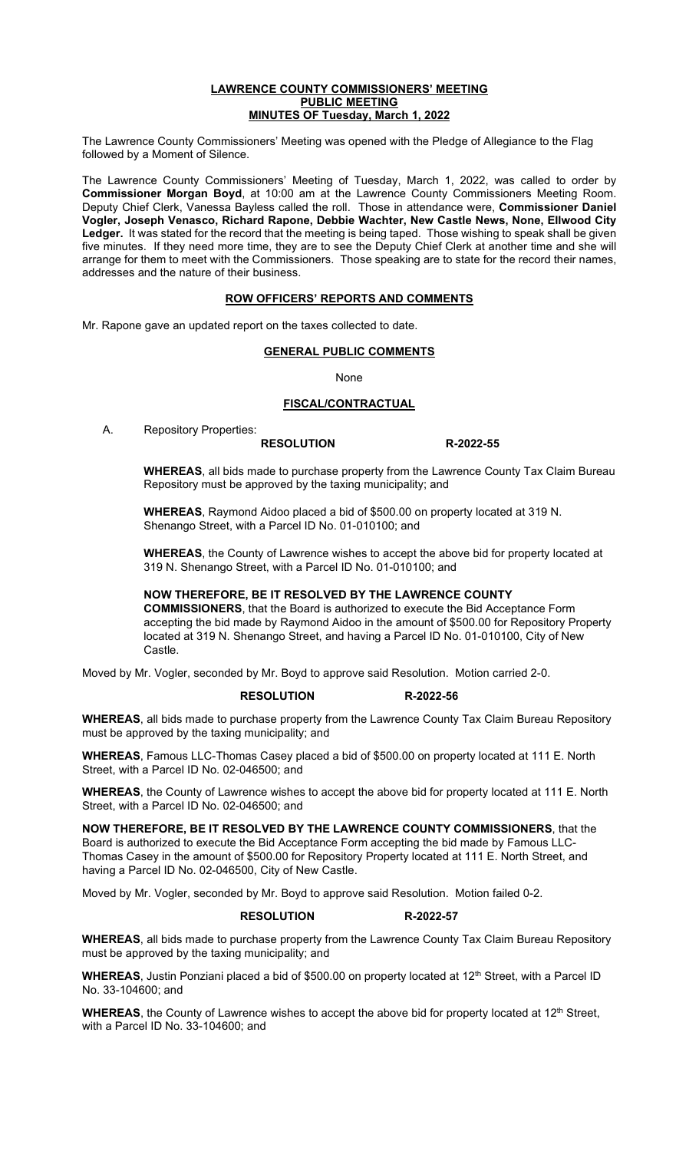#### **LAWRENCE COUNTY COMMISSIONERS' MEETING PUBLIC MEETING MINUTES OF Tuesday, March 1, 2022**

The Lawrence County Commissioners' Meeting was opened with the Pledge of Allegiance to the Flag followed by a Moment of Silence.

The Lawrence County Commissioners' Meeting of Tuesday, March 1, 2022, was called to order by **Commissioner Morgan Boyd**, at 10:00 am at the Lawrence County Commissioners Meeting Room. Deputy Chief Clerk, Vanessa Bayless called the roll. Those in attendance were, **Commissioner Daniel Vogler, Joseph Venasco, Richard Rapone, Debbie Wachter, New Castle News, None, Ellwood City Ledger.** It was stated for the record that the meeting is being taped. Those wishing to speak shall be given five minutes. If they need more time, they are to see the Deputy Chief Clerk at another time and she will arrange for them to meet with the Commissioners. Those speaking are to state for the record their names, addresses and the nature of their business.

# **ROW OFFICERS' REPORTS AND COMMENTS**

Mr. Rapone gave an updated report on the taxes collected to date.

#### **GENERAL PUBLIC COMMENTS**

None

# **FISCAL/CONTRACTUAL**

A. Repository Properties:

**RESOLUTION R-2022-55**

**WHEREAS**, all bids made to purchase property from the Lawrence County Tax Claim Bureau Repository must be approved by the taxing municipality; and

**WHEREAS**, Raymond Aidoo placed a bid of \$500.00 on property located at 319 N. Shenango Street, with a Parcel ID No. 01-010100; and

**WHEREAS**, the County of Lawrence wishes to accept the above bid for property located at 319 N. Shenango Street, with a Parcel ID No. 01-010100; and

# **NOW THEREFORE, BE IT RESOLVED BY THE LAWRENCE COUNTY**

**COMMISSIONERS**, that the Board is authorized to execute the Bid Acceptance Form accepting the bid made by Raymond Aidoo in the amount of \$500.00 for Repository Property located at 319 N. Shenango Street, and having a Parcel ID No. 01-010100, City of New Castle.

Moved by Mr. Vogler, seconded by Mr. Boyd to approve said Resolution. Motion carried 2-0.

# **RESOLUTION R-2022-56**

**WHEREAS**, all bids made to purchase property from the Lawrence County Tax Claim Bureau Repository must be approved by the taxing municipality; and

**WHEREAS**, Famous LLC-Thomas Casey placed a bid of \$500.00 on property located at 111 E. North Street, with a Parcel ID No. 02-046500; and

**WHEREAS**, the County of Lawrence wishes to accept the above bid for property located at 111 E. North Street, with a Parcel ID No. 02-046500; and

**NOW THEREFORE, BE IT RESOLVED BY THE LAWRENCE COUNTY COMMISSIONERS**, that the Board is authorized to execute the Bid Acceptance Form accepting the bid made by Famous LLC-Thomas Casey in the amount of \$500.00 for Repository Property located at 111 E. North Street, and having a Parcel ID No. 02-046500, City of New Castle.

Moved by Mr. Vogler, seconded by Mr. Boyd to approve said Resolution. Motion failed 0-2.

#### **RESOLUTION R-2022-57**

**WHEREAS**, all bids made to purchase property from the Lawrence County Tax Claim Bureau Repository must be approved by the taxing municipality; and

WHEREAS, Justin Ponziani placed a bid of \$500.00 on property located at 12<sup>th</sup> Street, with a Parcel ID No. 33-104600; and

WHEREAS, the County of Lawrence wishes to accept the above bid for property located at 12<sup>th</sup> Street, with a Parcel ID No. 33-104600; and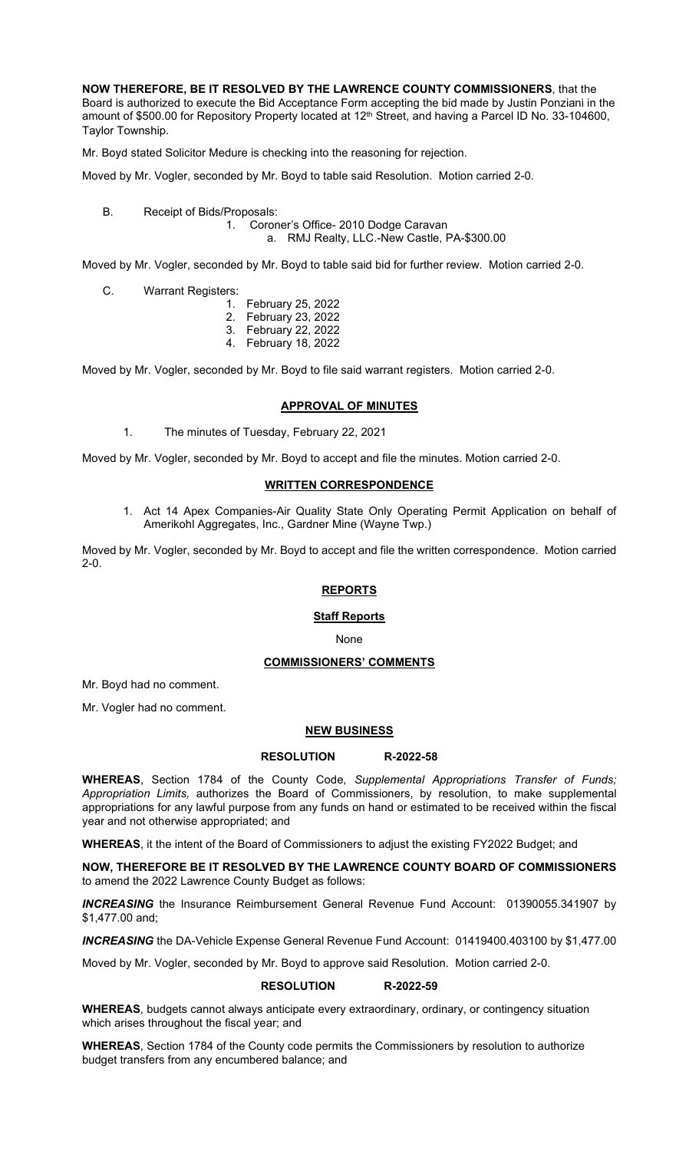**NOW THEREFORE, BE IT RESOLVED BY THE LAWRENCE COUNTY COMMISSIONERS**, that the Board is authorized to execute the Bid Acceptance Form accepting the bid made by Justin Ponziani in the amount of \$500.00 for Repository Property located at 12<sup>th</sup> Street, and having a Parcel ID No. 33-104600, Taylor Township.

Mr. Boyd stated Solicitor Medure is checking into the reasoning for rejection.

Moved by Mr. Vogler, seconded by Mr. Boyd to table said Resolution. Motion carried 2-0.

B. Receipt of Bids/Proposals:

1. Coroner's Office- 2010 Dodge Caravan a. RMJ Realty, LLC.-New Castle, PA-\$300.00

Moved by Mr. Vogler, seconded by Mr. Boyd to table said bid for further review. Motion carried 2-0.

C. Warrant Registers:

- 1. February 25, 2022 2. February 23, 2022
- 3. February 22, 2022
- 4. February 18, 2022

Moved by Mr. Vogler, seconded by Mr. Boyd to file said warrant registers. Motion carried 2-0.

# **APPROVAL OF MINUTES**

1. The minutes of Tuesday, February 22, 2021

Moved by Mr. Vogler, seconded by Mr. Boyd to accept and file the minutes. Motion carried 2-0.

# **WRITTEN CORRESPONDENCE**

1. Act 14 Apex Companies-Air Quality State Only Operating Permit Application on behalf of Amerikohl Aggregates, Inc., Gardner Mine (Wayne Twp.)

Moved by Mr. Vogler, seconded by Mr. Boyd to accept and file the written correspondence. Motion carried 2-0.

#### **REPORTS**

# **Staff Reports**

None

#### **COMMISSIONERS' COMMENTS**

Mr. Boyd had no comment.

Mr. Vogler had no comment.

#### **NEW BUSINESS**

### **RESOLUTION R-2022-58**

**WHEREAS**, Section 1784 of the County Code, *Supplemental Appropriations Transfer of Funds; Appropriation Limits,* authorizes the Board of Commissioners, by resolution, to make supplemental appropriations for any lawful purpose from any funds on hand or estimated to be received within the fiscal year and not otherwise appropriated; and

**WHEREAS**, it the intent of the Board of Commissioners to adjust the existing FY2022 Budget; and

**NOW, THEREFORE BE IT RESOLVED BY THE LAWRENCE COUNTY BOARD OF COMMISSIONERS**  to amend the 2022 Lawrence County Budget as follows:

*INCREASING* the Insurance Reimbursement General Revenue Fund Account: 01390055.341907 by \$1,477.00 and;

*INCREASING* the DA-Vehicle Expense General Revenue Fund Account: 01419400.403100 by \$1,477.00

Moved by Mr. Vogler, seconded by Mr. Boyd to approve said Resolution. Motion carried 2-0.

#### **RESOLUTION R-2022-59**

**WHEREAS**, budgets cannot always anticipate every extraordinary, ordinary, or contingency situation which arises throughout the fiscal year; and

**WHEREAS**, Section 1784 of the County code permits the Commissioners by resolution to authorize budget transfers from any encumbered balance; and